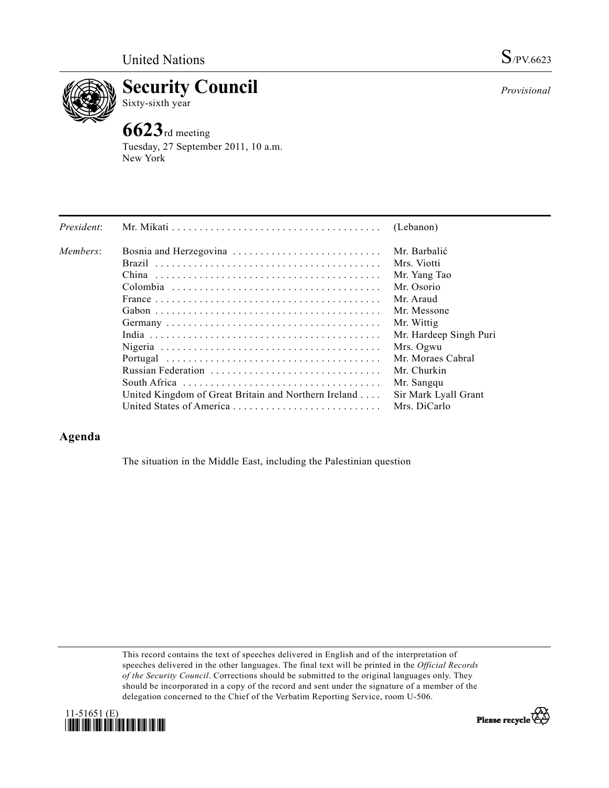

**Security Council**  Sixty-sixth year

## **6623**rd meeting

Tuesday, 27 September 2011, 10 a.m. New York

| President: |                                                      | (Lebanon)              |
|------------|------------------------------------------------------|------------------------|
| Members:   | Bosnia and Herzegovina                               | Mr. Barbalić           |
|            |                                                      | Mrs. Viotti            |
|            |                                                      | Mr. Yang Tao           |
|            |                                                      | Mr. Osorio             |
|            |                                                      | Mr. Araud              |
|            |                                                      | Mr. Messone            |
|            |                                                      | Mr. Wittig             |
|            |                                                      | Mr. Hardeep Singh Puri |
|            |                                                      | Mrs. Ogwu              |
|            |                                                      | Mr. Moraes Cabral      |
|            |                                                      | Mr. Churkin            |
|            |                                                      | Mr. Sangqu             |
|            | United Kingdom of Great Britain and Northern Ireland | Sir Mark Lyall Grant   |
|            | United States of America                             | Mrs. DiCarlo           |

## **Agenda**

The situation in the Middle East, including the Palestinian question

This record contains the text of speeches delivered in English and of the interpretation of speeches delivered in the other languages. The final text will be printed in the *Official Records of the Security Council*. Corrections should be submitted to the original languages only. They should be incorporated in a copy of the record and sent under the signature of a member of the delegation concerned to the Chief of the Verbatim Reporting Service, room U-506.





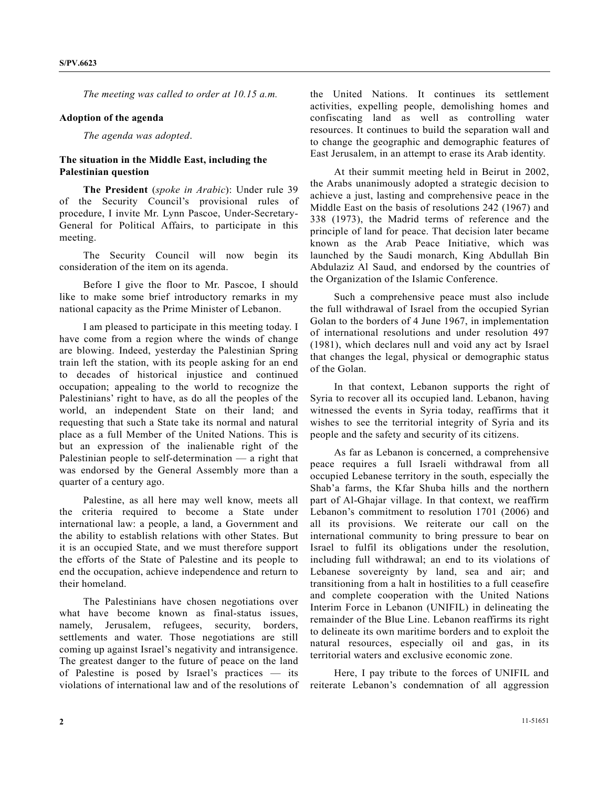*The meeting was called to order at 10.15 a.m.* 

## **Adoption of the agenda**

*The agenda was adopted*.

## **The situation in the Middle East, including the Palestinian question**

**The President** (*spoke in Arabic*): Under rule 39 of the Security Council's provisional rules of procedure, I invite Mr. Lynn Pascoe, Under-Secretary-General for Political Affairs, to participate in this meeting.

 The Security Council will now begin its consideration of the item on its agenda.

 Before I give the floor to Mr. Pascoe, I should like to make some brief introductory remarks in my national capacity as the Prime Minister of Lebanon.

 I am pleased to participate in this meeting today. I have come from a region where the winds of change are blowing. Indeed, yesterday the Palestinian Spring train left the station, with its people asking for an end to decades of historical injustice and continued occupation; appealing to the world to recognize the Palestinians' right to have, as do all the peoples of the world, an independent State on their land; and requesting that such a State take its normal and natural place as a full Member of the United Nations. This is but an expression of the inalienable right of the Palestinian people to self-determination — a right that was endorsed by the General Assembly more than a quarter of a century ago.

 Palestine, as all here may well know, meets all the criteria required to become a State under international law: a people, a land, a Government and the ability to establish relations with other States. But it is an occupied State, and we must therefore support the efforts of the State of Palestine and its people to end the occupation, achieve independence and return to their homeland.

 The Palestinians have chosen negotiations over what have become known as final-status issues, namely, Jerusalem, refugees, security, borders, settlements and water. Those negotiations are still coming up against Israel's negativity and intransigence. The greatest danger to the future of peace on the land of Palestine is posed by Israel's practices — its violations of international law and of the resolutions of the United Nations. It continues its settlement activities, expelling people, demolishing homes and confiscating land as well as controlling water resources. It continues to build the separation wall and to change the geographic and demographic features of East Jerusalem, in an attempt to erase its Arab identity.

 At their summit meeting held in Beirut in 2002, the Arabs unanimously adopted a strategic decision to achieve a just, lasting and comprehensive peace in the Middle East on the basis of resolutions 242 (1967) and 338 (1973), the Madrid terms of reference and the principle of land for peace. That decision later became known as the Arab Peace Initiative, which was launched by the Saudi monarch, King Abdullah Bin Abdulaziz Al Saud, and endorsed by the countries of the Organization of the Islamic Conference.

 Such a comprehensive peace must also include the full withdrawal of Israel from the occupied Syrian Golan to the borders of 4 June 1967, in implementation of international resolutions and under resolution 497 (1981), which declares null and void any act by Israel that changes the legal, physical or demographic status of the Golan.

 In that context, Lebanon supports the right of Syria to recover all its occupied land. Lebanon, having witnessed the events in Syria today, reaffirms that it wishes to see the territorial integrity of Syria and its people and the safety and security of its citizens.

 As far as Lebanon is concerned, a comprehensive peace requires a full Israeli withdrawal from all occupied Lebanese territory in the south, especially the Shab'a farms, the Kfar Shuba hills and the northern part of Al-Ghajar village. In that context, we reaffirm Lebanon's commitment to resolution 1701 (2006) and all its provisions. We reiterate our call on the international community to bring pressure to bear on Israel to fulfil its obligations under the resolution, including full withdrawal; an end to its violations of Lebanese sovereignty by land, sea and air; and transitioning from a halt in hostilities to a full ceasefire and complete cooperation with the United Nations Interim Force in Lebanon (UNIFIL) in delineating the remainder of the Blue Line. Lebanon reaffirms its right to delineate its own maritime borders and to exploit the natural resources, especially oil and gas, in its territorial waters and exclusive economic zone.

 Here, I pay tribute to the forces of UNIFIL and reiterate Lebanon's condemnation of all aggression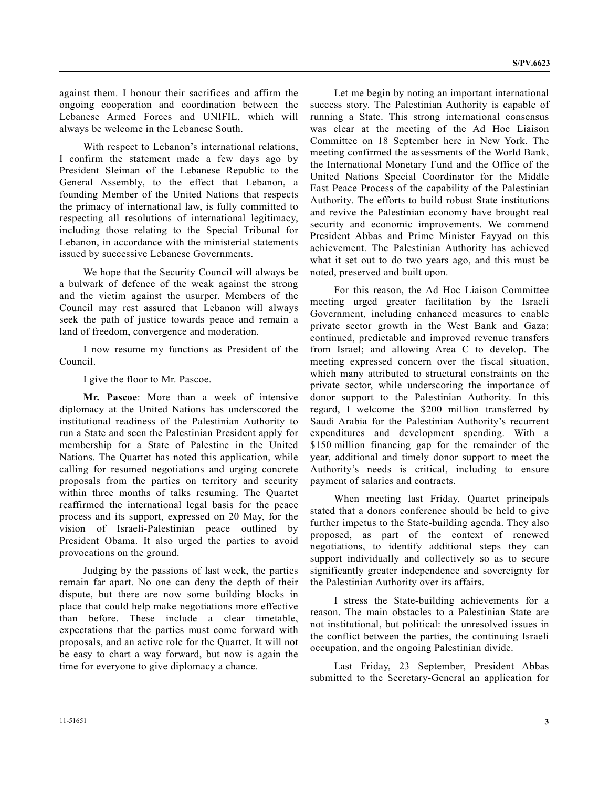against them. I honour their sacrifices and affirm the ongoing cooperation and coordination between the Lebanese Armed Forces and UNIFIL, which will always be welcome in the Lebanese South.

 With respect to Lebanon's international relations, I confirm the statement made a few days ago by President Sleiman of the Lebanese Republic to the General Assembly, to the effect that Lebanon, a founding Member of the United Nations that respects the primacy of international law, is fully committed to respecting all resolutions of international legitimacy, including those relating to the Special Tribunal for Lebanon, in accordance with the ministerial statements issued by successive Lebanese Governments.

 We hope that the Security Council will always be a bulwark of defence of the weak against the strong and the victim against the usurper. Members of the Council may rest assured that Lebanon will always seek the path of justice towards peace and remain a land of freedom, convergence and moderation.

 I now resume my functions as President of the Council.

I give the floor to Mr. Pascoe.

**Mr. Pascoe**: More than a week of intensive diplomacy at the United Nations has underscored the institutional readiness of the Palestinian Authority to run a State and seen the Palestinian President apply for membership for a State of Palestine in the United Nations. The Quartet has noted this application, while calling for resumed negotiations and urging concrete proposals from the parties on territory and security within three months of talks resuming. The Quartet reaffirmed the international legal basis for the peace process and its support, expressed on 20 May, for the vision of Israeli-Palestinian peace outlined by President Obama. It also urged the parties to avoid provocations on the ground.

 Judging by the passions of last week, the parties remain far apart. No one can deny the depth of their dispute, but there are now some building blocks in place that could help make negotiations more effective than before. These include a clear timetable, expectations that the parties must come forward with proposals, and an active role for the Quartet. It will not be easy to chart a way forward, but now is again the time for everyone to give diplomacy a chance.

 Let me begin by noting an important international success story. The Palestinian Authority is capable of running a State. This strong international consensus was clear at the meeting of the Ad Hoc Liaison Committee on 18 September here in New York. The meeting confirmed the assessments of the World Bank, the International Monetary Fund and the Office of the United Nations Special Coordinator for the Middle East Peace Process of the capability of the Palestinian Authority. The efforts to build robust State institutions and revive the Palestinian economy have brought real security and economic improvements. We commend President Abbas and Prime Minister Fayyad on this achievement. The Palestinian Authority has achieved what it set out to do two years ago, and this must be noted, preserved and built upon.

 For this reason, the Ad Hoc Liaison Committee meeting urged greater facilitation by the Israeli Government, including enhanced measures to enable private sector growth in the West Bank and Gaza; continued, predictable and improved revenue transfers from Israel; and allowing Area C to develop. The meeting expressed concern over the fiscal situation, which many attributed to structural constraints on the private sector, while underscoring the importance of donor support to the Palestinian Authority. In this regard, I welcome the \$200 million transferred by Saudi Arabia for the Palestinian Authority's recurrent expenditures and development spending. With a \$150 million financing gap for the remainder of the year, additional and timely donor support to meet the Authority's needs is critical, including to ensure payment of salaries and contracts.

 When meeting last Friday, Quartet principals stated that a donors conference should be held to give further impetus to the State-building agenda. They also proposed, as part of the context of renewed negotiations, to identify additional steps they can support individually and collectively so as to secure significantly greater independence and sovereignty for the Palestinian Authority over its affairs.

 I stress the State-building achievements for a reason. The main obstacles to a Palestinian State are not institutional, but political: the unresolved issues in the conflict between the parties, the continuing Israeli occupation, and the ongoing Palestinian divide.

 Last Friday, 23 September, President Abbas submitted to the Secretary-General an application for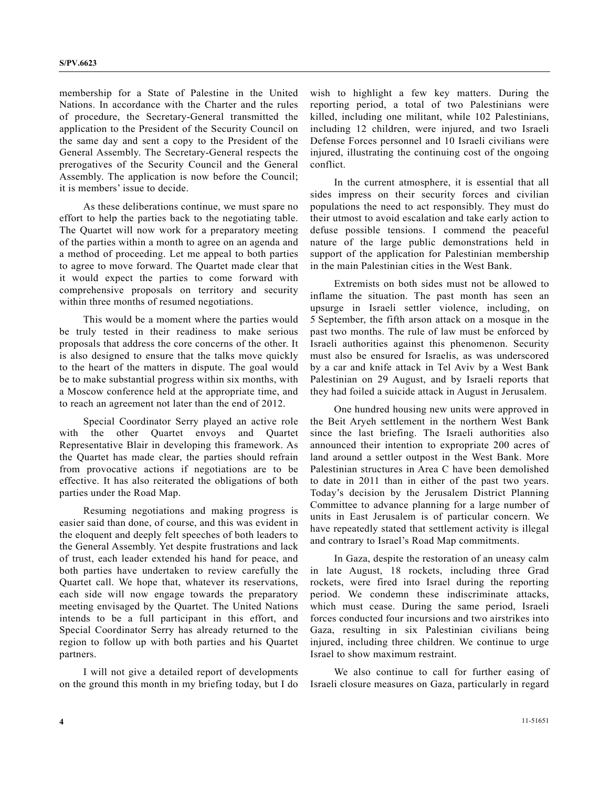membership for a State of Palestine in the United Nations. In accordance with the Charter and the rules of procedure, the Secretary-General transmitted the application to the President of the Security Council on the same day and sent a copy to the President of the General Assembly. The Secretary-General respects the prerogatives of the Security Council and the General Assembly. The application is now before the Council; it is members' issue to decide.

 As these deliberations continue, we must spare no effort to help the parties back to the negotiating table. The Quartet will now work for a preparatory meeting of the parties within a month to agree on an agenda and a method of proceeding. Let me appeal to both parties to agree to move forward. The Quartet made clear that it would expect the parties to come forward with comprehensive proposals on territory and security within three months of resumed negotiations.

 This would be a moment where the parties would be truly tested in their readiness to make serious proposals that address the core concerns of the other. It is also designed to ensure that the talks move quickly to the heart of the matters in dispute. The goal would be to make substantial progress within six months, with a Moscow conference held at the appropriate time, and to reach an agreement not later than the end of 2012.

 Special Coordinator Serry played an active role with the other Quartet envoys and Quartet Representative Blair in developing this framework. As the Quartet has made clear, the parties should refrain from provocative actions if negotiations are to be effective. It has also reiterated the obligations of both parties under the Road Map.

 Resuming negotiations and making progress is easier said than done, of course, and this was evident in the eloquent and deeply felt speeches of both leaders to the General Assembly. Yet despite frustrations and lack of trust, each leader extended his hand for peace, and both parties have undertaken to review carefully the Quartet call. We hope that, whatever its reservations, each side will now engage towards the preparatory meeting envisaged by the Quartet. The United Nations intends to be a full participant in this effort, and Special Coordinator Serry has already returned to the region to follow up with both parties and his Quartet partners.

 I will not give a detailed report of developments on the ground this month in my briefing today, but I do

wish to highlight a few key matters. During the reporting period, a total of two Palestinians were killed, including one militant, while 102 Palestinians, including 12 children, were injured, and two Israeli Defense Forces personnel and 10 Israeli civilians were injured, illustrating the continuing cost of the ongoing conflict.

 In the current atmosphere, it is essential that all sides impress on their security forces and civilian populations the need to act responsibly. They must do their utmost to avoid escalation and take early action to defuse possible tensions. I commend the peaceful nature of the large public demonstrations held in support of the application for Palestinian membership in the main Palestinian cities in the West Bank.

 Extremists on both sides must not be allowed to inflame the situation. The past month has seen an upsurge in Israeli settler violence, including, on 5 September, the fifth arson attack on a mosque in the past two months. The rule of law must be enforced by Israeli authorities against this phenomenon. Security must also be ensured for Israelis, as was underscored by a car and knife attack in Tel Aviv by a West Bank Palestinian on 29 August, and by Israeli reports that they had foiled a suicide attack in August in Jerusalem.

 One hundred housing new units were approved in the Beit Aryeh settlement in the northern West Bank since the last briefing. The Israeli authorities also announced their intention to expropriate 200 acres of land around a settler outpost in the West Bank. More Palestinian structures in Area C have been demolished to date in 2011 than in either of the past two years. Today's decision by the Jerusalem District Planning Committee to advance planning for a large number of units in East Jerusalem is of particular concern. We have repeatedly stated that settlement activity is illegal and contrary to Israel's Road Map commitments.

 In Gaza, despite the restoration of an uneasy calm in late August, 18 rockets, including three Grad rockets, were fired into Israel during the reporting period. We condemn these indiscriminate attacks, which must cease. During the same period, Israeli forces conducted four incursions and two airstrikes into Gaza, resulting in six Palestinian civilians being injured, including three children. We continue to urge Israel to show maximum restraint.

 We also continue to call for further easing of Israeli closure measures on Gaza, particularly in regard